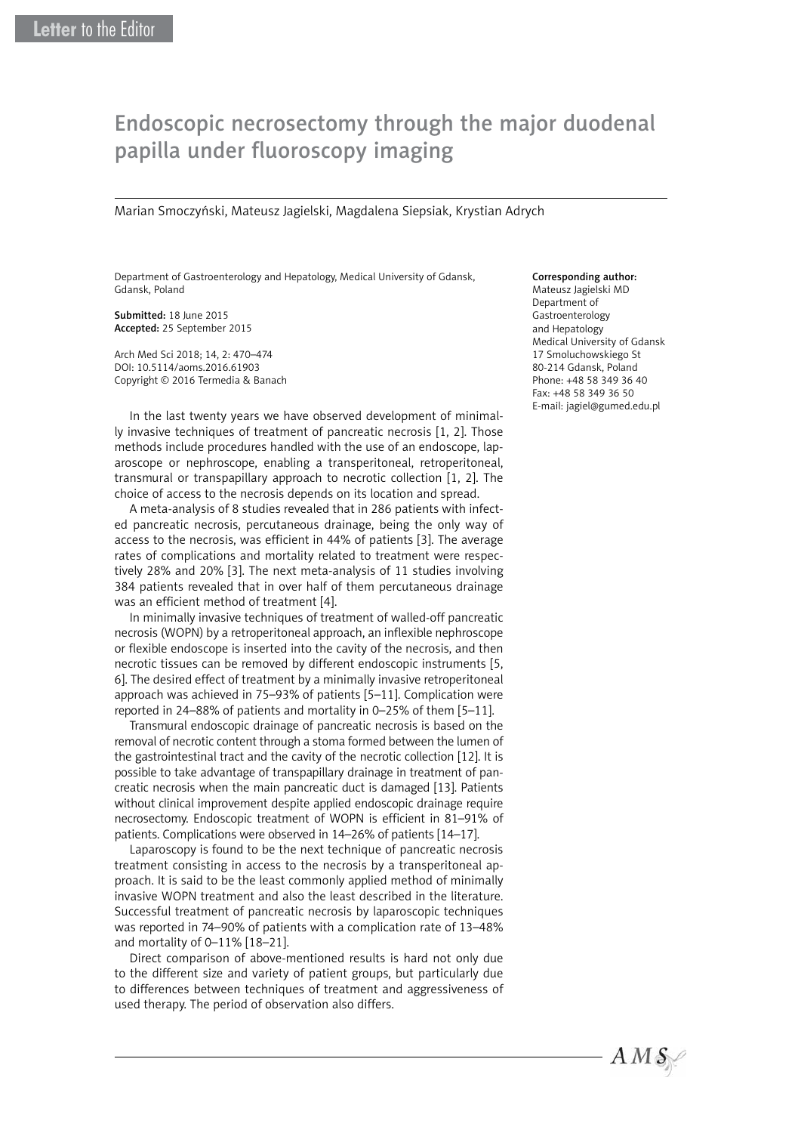## Endoscopic necrosectomy through the major duodenal papilla under fluoroscopy imaging

Marian Smoczyński, Mateusz Jagielski, Magdalena Siepsiak, Krystian Adrych

Department of Gastroenterology and Hepatology, Medical University of Gdansk, Gdansk, Poland

Submitted: 18 June 2015 Accepted: 25 September 2015

Arch Med Sci 2018; 14, 2: 470–474 DOI: 10.5114/aoms.2016.61903 Copyright © 2016 Termedia & Banach

In the last twenty years we have observed development of minimally invasive techniques of treatment of pancreatic necrosis [1, 2]. Those methods include procedures handled with the use of an endoscope, laparoscope or nephroscope, enabling a transperitoneal, retroperitoneal, transmural or transpapillary approach to necrotic collection [1, 2]. The choice of access to the necrosis depends on its location and spread.

A meta-analysis of 8 studies revealed that in 286 patients with infected pancreatic necrosis, percutaneous drainage, being the only way of access to the necrosis, was efficient in 44% of patients [3]. The average rates of complications and mortality related to treatment were respectively 28% and 20% [3]. The next meta-analysis of 11 studies involving 384 patients revealed that in over half of them percutaneous drainage was an efficient method of treatment [4].

In minimally invasive techniques of treatment of walled-off pancreatic necrosis (WOPN) by a retroperitoneal approach, an inflexible nephroscope or flexible endoscope is inserted into the cavity of the necrosis, and then necrotic tissues can be removed by different endoscopic instruments [5, 6]. The desired effect of treatment by a minimally invasive retroperitoneal approach was achieved in 75–93% of patients [5–11]. Complication were reported in 24–88% of patients and mortality in 0–25% of them [5–11].

Transmural endoscopic drainage of pancreatic necrosis is based on the removal of necrotic content through a stoma formed between the lumen of the gastrointestinal tract and the cavity of the necrotic collection [12]. It is possible to take advantage of transpapillary drainage in treatment of pancreatic necrosis when the main pancreatic duct is damaged [13]. Patients without clinical improvement despite applied endoscopic drainage require necrosectomy. Endoscopic treatment of WOPN is efficient in 81–91% of patients. Complications were observed in 14–26% of patients [14–17].

Laparoscopy is found to be the next technique of pancreatic necrosis treatment consisting in access to the necrosis by a transperitoneal approach. It is said to be the least commonly applied method of minimally invasive WOPN treatment and also the least described in the literature. Successful treatment of pancreatic necrosis by laparoscopic techniques was reported in 74–90% of patients with a complication rate of 13–48% and mortality of 0–11% [18–21].

Direct comparison of above-mentioned results is hard not only due to the different size and variety of patient groups, but particularly due to differences between techniques of treatment and aggressiveness of used therapy. The period of observation also differs.

## Corresponding author:

Mateusz Jagielski MD Department of Gastroenterology and Hepatology Medical University of Gdansk 17 Smoluchowskiego St 80-214 Gdansk, Poland Phone: +48 58 349 36 40 Fax: +48 58 349 36 50 E-mail: jagiel@gumed.edu.pl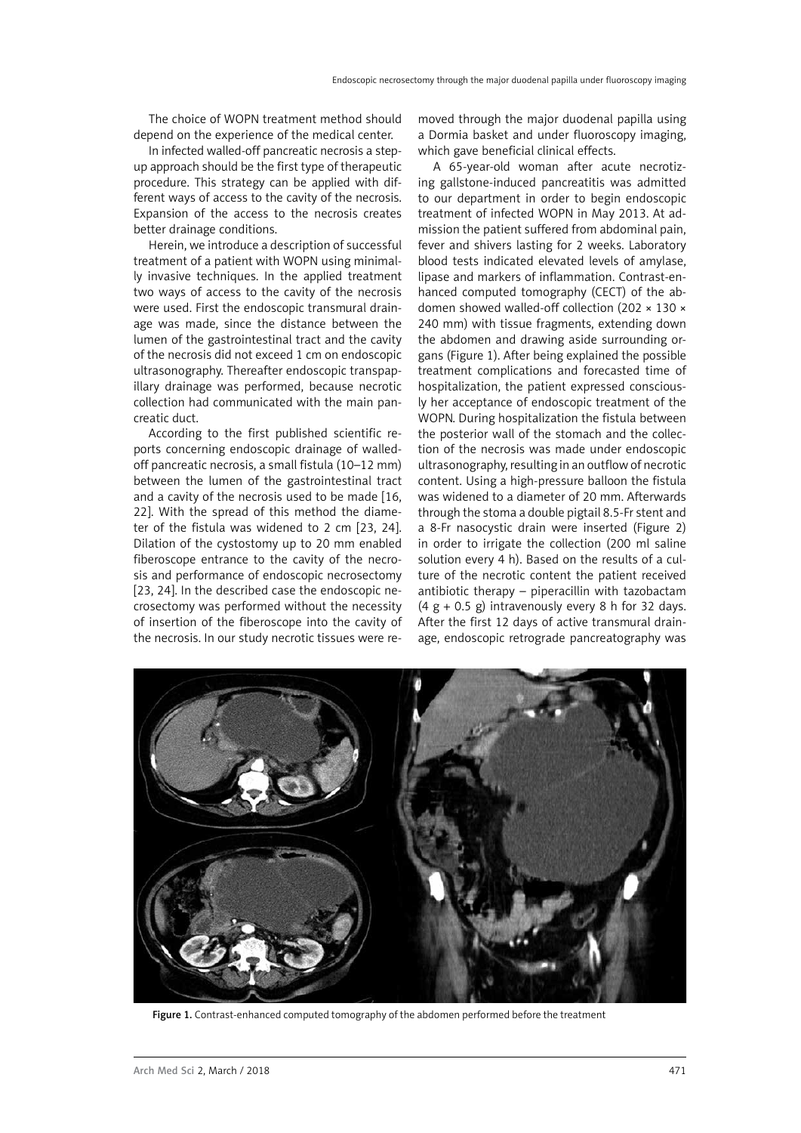The choice of WOPN treatment method should depend on the experience of the medical center.

In infected walled-off pancreatic necrosis a stepup approach should be the first type of therapeutic procedure. This strategy can be applied with different ways of access to the cavity of the necrosis. Expansion of the access to the necrosis creates better drainage conditions.

Herein, we introduce a description of successful treatment of a patient with WOPN using minimally invasive techniques. In the applied treatment two ways of access to the cavity of the necrosis were used. First the endoscopic transmural drainage was made, since the distance between the lumen of the gastrointestinal tract and the cavity of the necrosis did not exceed 1 cm on endoscopic ultrasonography. Thereafter endoscopic transpapillary drainage was performed, because necrotic collection had communicated with the main pancreatic duct.

According to the first published scientific reports concerning endoscopic drainage of walledoff pancreatic necrosis, a small fistula (10–12 mm) between the lumen of the gastrointestinal tract and a cavity of the necrosis used to be made [16, 22]. With the spread of this method the diameter of the fistula was widened to 2 cm [23, 24]. Dilation of the cystostomy up to 20 mm enabled fiberoscope entrance to the cavity of the necrosis and performance of endoscopic necrosectomy [23, 24]. In the described case the endoscopic necrosectomy was performed without the necessity of insertion of the fiberoscope into the cavity of the necrosis. In our study necrotic tissues were removed through the major duodenal papilla using a Dormia basket and under fluoroscopy imaging, which gave beneficial clinical effects.

A 65-year-old woman after acute necrotizing gallstone-induced pancreatitis was admitted to our department in order to begin endoscopic treatment of infected WOPN in May 2013. At admission the patient suffered from abdominal pain, fever and shivers lasting for 2 weeks. Laboratory blood tests indicated elevated levels of amylase, lipase and markers of inflammation. Contrast-enhanced computed tomography (CECT) of the abdomen showed walled-off collection (202 × 130 × 240 mm) with tissue fragments, extending down the abdomen and drawing aside surrounding organs (Figure 1). After being explained the possible treatment complications and forecasted time of hospitalization, the patient expressed consciously her acceptance of endoscopic treatment of the WOPN. During hospitalization the fistula between the posterior wall of the stomach and the collection of the necrosis was made under endoscopic ultrasonography, resulting in an outflow of necrotic content. Using a high-pressure balloon the fistula was widened to a diameter of 20 mm. Afterwards through the stoma a double pigtail 8.5-Fr stent and a 8-Fr nasocystic drain were inserted (Figure 2) in order to irrigate the collection (200 ml saline solution every 4 h). Based on the results of a culture of the necrotic content the patient received antibiotic therapy – piperacillin with tazobactam  $(4 g + 0.5 g)$  intravenously every 8 h for 32 days. After the first 12 days of active transmural drainage, endoscopic retrograde pancreatography was



Figure 1. Contrast-enhanced computed tomography of the abdomen performed before the treatment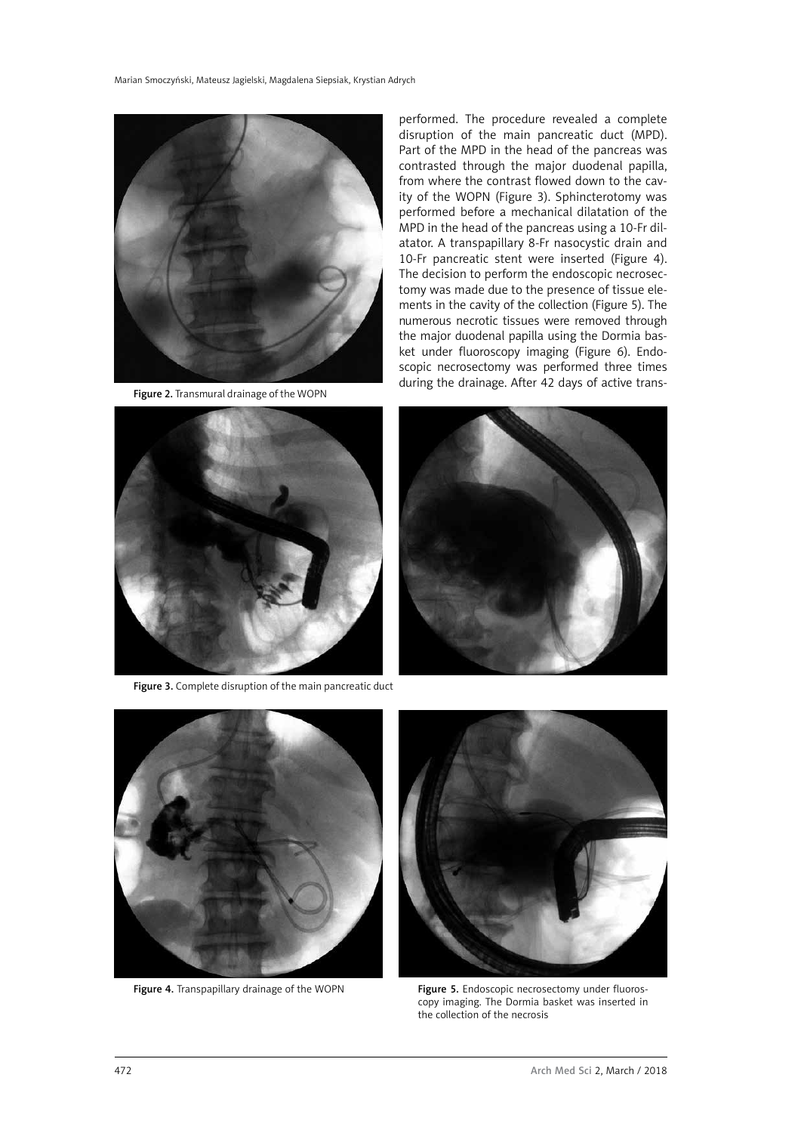

Figure 2. Transmural drainage of the WOPN

performed. The procedure revealed a complete disruption of the main pancreatic duct (MPD). Part of the MPD in the head of the pancreas was contrasted through the major duodenal papilla, from where the contrast flowed down to the cavity of the WOPN (Figure 3). Sphincterotomy was performed before a mechanical dilatation of the MPD in the head of the pancreas using a 10-Fr dilatator. A transpapillary 8-Fr nasocystic drain and 10-Fr pancreatic stent were inserted (Figure 4). The decision to perform the endoscopic necrosectomy was made due to the presence of tissue elements in the cavity of the collection (Figure 5). The numerous necrotic tissues were removed through the major duodenal papilla using the Dormia basket under fluoroscopy imaging (Figure 6). Endoscopic necrosectomy was performed three times during the drainage. After 42 days of active trans-



Figure 3. Complete disruption of the main pancreatic duct







Figure 4. Transpapillary drainage of the WOPN Figure 5. Endoscopic necrosectomy under fluoroscopy imaging. The Dormia basket was inserted in the collection of the necrosis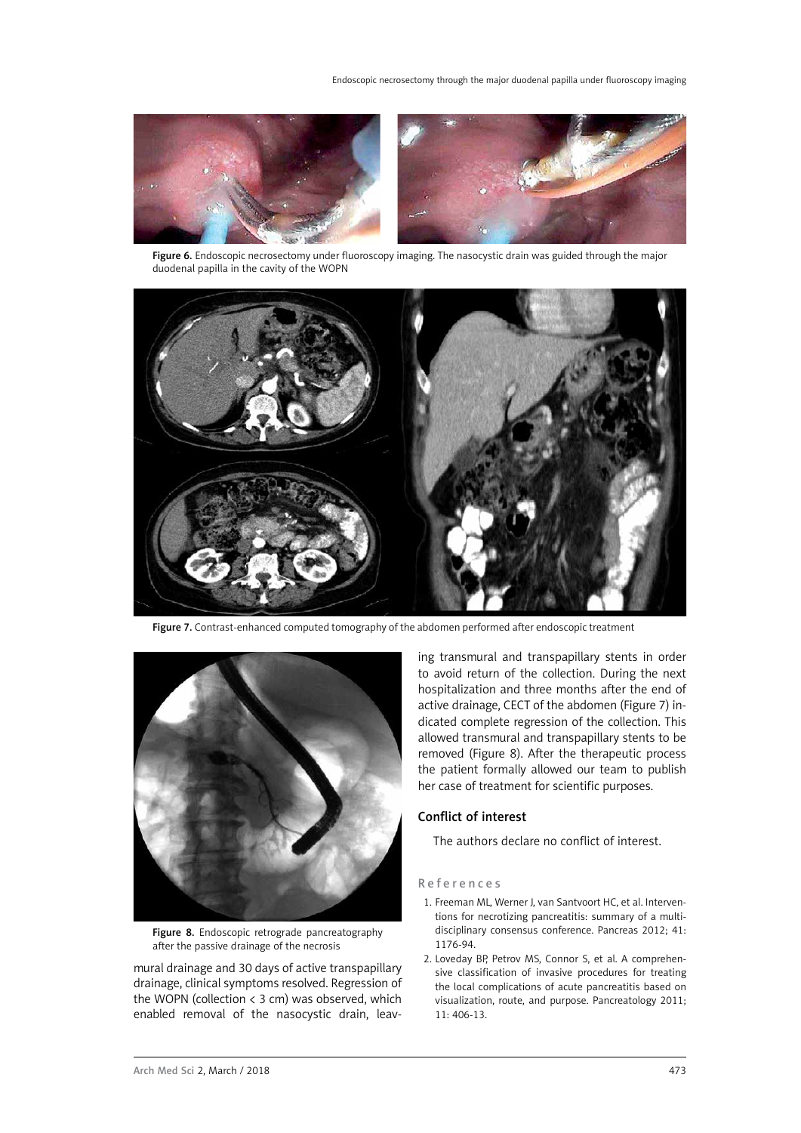

Figure 6. Endoscopic necrosectomy under fluoroscopy imaging. The nasocystic drain was guided through the major duodenal papilla in the cavity of the WOPN



Figure 7. Contrast-enhanced computed tomography of the abdomen performed after endoscopic treatment



Figure 8. Endoscopic retrograde pancreatography after the passive drainage of the necrosis

mural drainage and 30 days of active transpapillary drainage, clinical symptoms resolved. Regression of the WOPN (collection < 3 cm) was observed, which enabled removal of the nasocystic drain, leaving transmural and transpapillary stents in order to avoid return of the collection. During the next hospitalization and three months after the end of active drainage, CECT of the abdomen (Figure 7) indicated complete regression of the collection. This allowed transmural and transpapillary stents to be removed (Figure 8). After the therapeutic process the patient formally allowed our team to publish her case of treatment for scientific purposes.

## Conflict of interest

The authors declare no conflict of interest.

## References

- 1. Freeman ML, Werner J, van Santvoort HC, et al. Interventions for necrotizing pancreatitis: summary of a multidisciplinary consensus conference. Pancreas 2012; 41: 1176-94.
- 2. Loveday BP, Petrov MS, Connor S, et al. A comprehensive classification of invasive procedures for treating the local complications of acute pancreatitis based on visualization, route, and purpose. Pancreatology 2011; 11: 406-13.